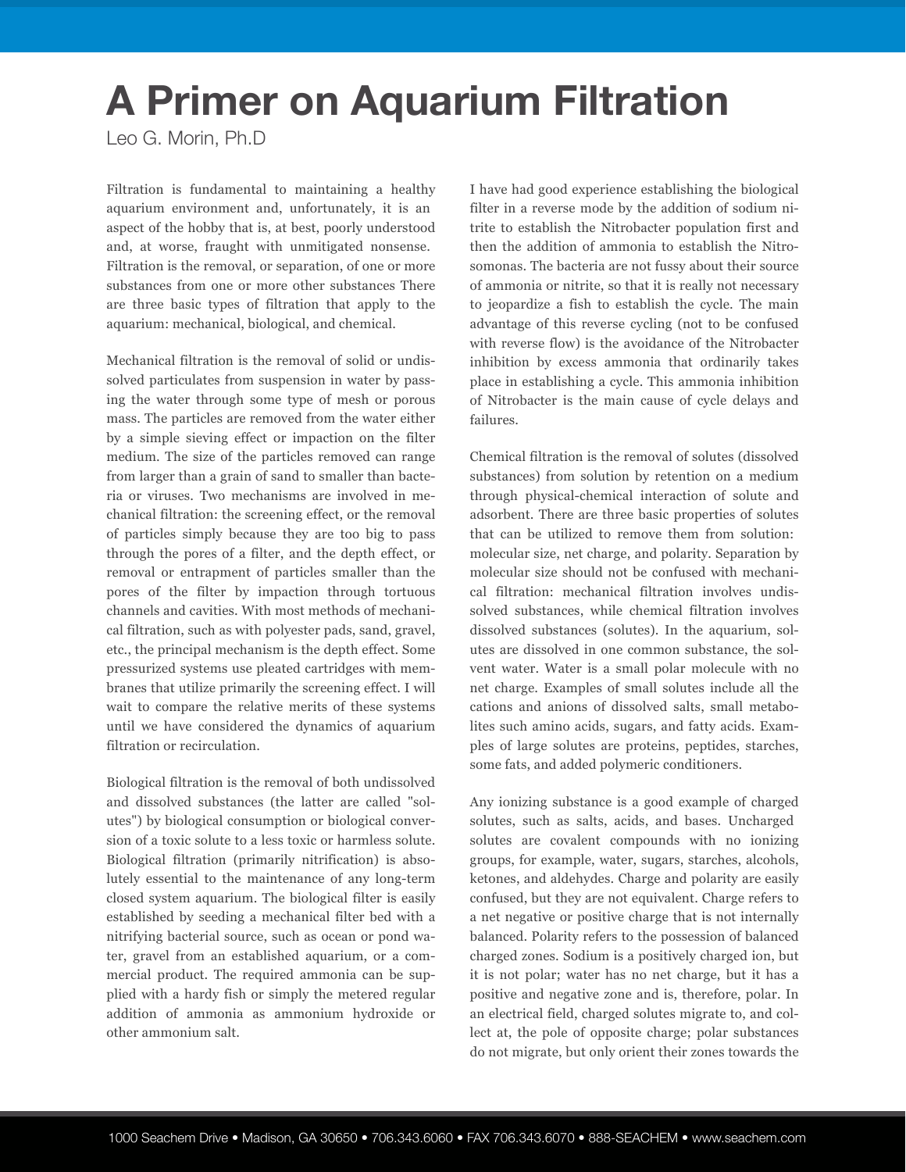## **A Primer on Aquarium Filtration**

Leo G. Morin, Ph.D

Filtration is fundamental to maintaining a healthy aquarium environment and, unfortunately, it is an aspect of the hobby that is, at best, poorly understood and, at worse, fraught with unmitigated nonsense. Filtration is the removal, or separation, of one or more substances from one or more other substances There are three basic types of filtration that apply to the aquarium: mechanical, biological, and chemical.

Mechanical filtration is the removal of solid or undissolved particulates from suspension in water by passing the water through some type of mesh or porous mass. The particles are removed from the water either by a simple sieving effect or impaction on the filter medium. The size of the particles removed can range from larger than a grain of sand to smaller than bacteria or viruses. Two mechanisms are involved in mechanical filtration: the screening effect, or the removal of particles simply because they are too big to pass through the pores of a filter, and the depth effect, or removal or entrapment of particles smaller than the pores of the filter by impaction through tortuous channels and cavities. With most methods of mechanical filtration, such as with polyester pads, sand, gravel, etc., the principal mechanism is the depth effect. Some pressurized systems use pleated cartridges with membranes that utilize primarily the screening effect. I will wait to compare the relative merits of these systems until we have considered the dynamics of aquarium filtration or recirculation.

Biological filtration is the removal of both undissolved and dissolved substances (the latter are called "solutes") by biological consumption or biological conversion of a toxic solute to a less toxic or harmless solute. Biological filtration (primarily nitrification) is absolutely essential to the maintenance of any long-term closed system aquarium. The biological filter is easily established by seeding a mechanical filter bed with a nitrifying bacterial source, such as ocean or pond water, gravel from an established aquarium, or a commercial product. The required ammonia can be supplied with a hardy fish or simply the metered regular addition of ammonia as ammonium hydroxide or other ammonium salt.

I have had good experience establishing the biological filter in a reverse mode by the addition of sodium nitrite to establish the Nitrobacter population first and then the addition of ammonia to establish the Nitrosomonas. The bacteria are not fussy about their source of ammonia or nitrite, so that it is really not necessary to jeopardize a fish to establish the cycle. The main advantage of this reverse cycling (not to be confused with reverse flow) is the avoidance of the Nitrobacter inhibition by excess ammonia that ordinarily takes place in establishing a cycle. This ammonia inhibition of Nitrobacter is the main cause of cycle delays and failures.

Chemical filtration is the removal of solutes (dissolved substances) from solution by retention on a medium through physical-chemical interaction of solute and adsorbent. There are three basic properties of solutes that can be utilized to remove them from solution: molecular size, net charge, and polarity. Separation by molecular size should not be confused with mechanical filtration: mechanical filtration involves undissolved substances, while chemical filtration involves dissolved substances (solutes). In the aquarium, solutes are dissolved in one common substance, the solvent water. Water is a small polar molecule with no net charge. Examples of small solutes include all the cations and anions of dissolved salts, small metabolites such amino acids, sugars, and fatty acids. Examples of large solutes are proteins, peptides, starches, some fats, and added polymeric conditioners.

Any ionizing substance is a good example of charged solutes, such as salts, acids, and bases. Uncharged solutes are covalent compounds with no ionizing groups, for example, water, sugars, starches, alcohols, ketones, and aldehydes. Charge and polarity are easily confused, but they are not equivalent. Charge refers to a net negative or positive charge that is not internally balanced. Polarity refers to the possession of balanced charged zones. Sodium is a positively charged ion, but it is not polar; water has no net charge, but it has a positive and negative zone and is, therefore, polar. In an electrical field, charged solutes migrate to, and collect at, the pole of opposite charge; polar substances do not migrate, but only orient their zones towards the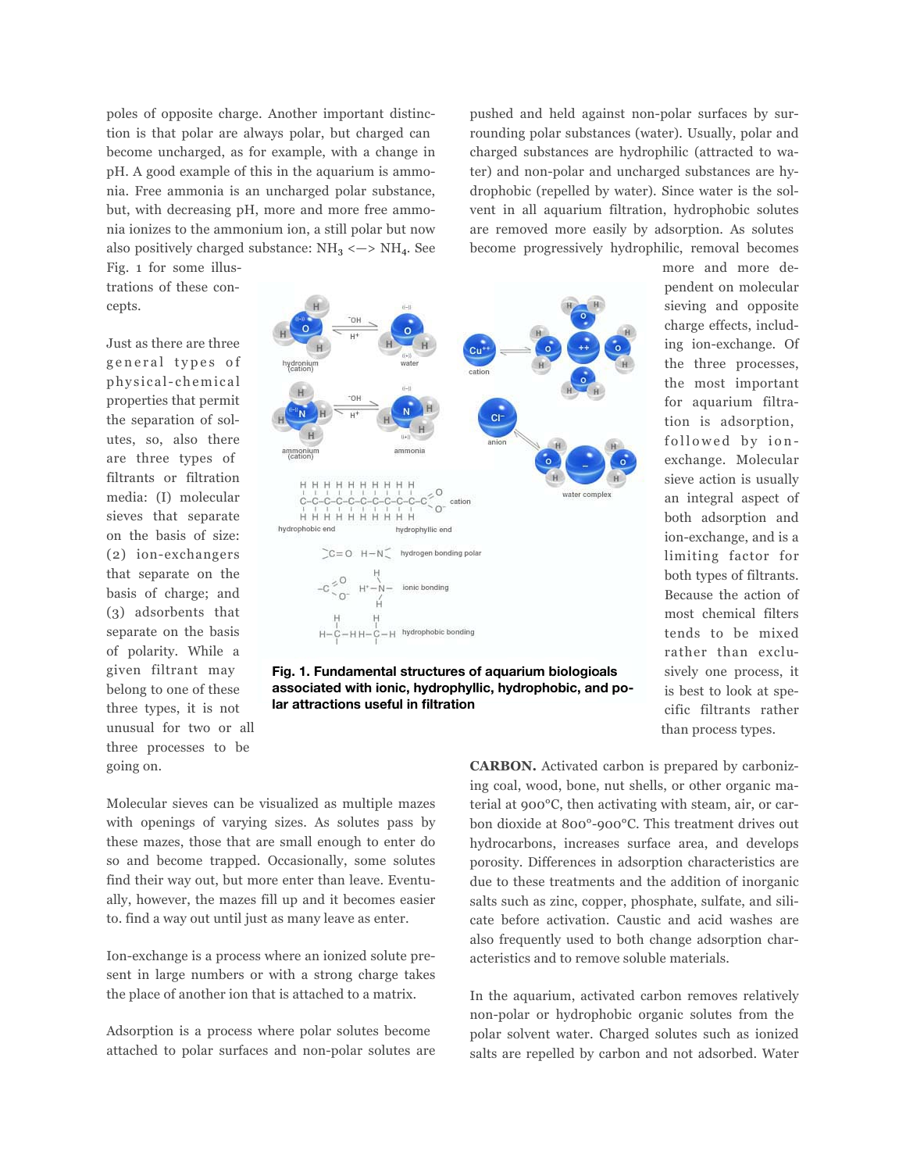poles of opposite charge. Another important distinction is that polar are always polar, but charged can become uncharged, as for example, with a change in pH. A good example of this in the aquarium is ammonia. Free ammonia is an uncharged polar substance, but, with decreasing pH, more and more free ammonia ionizes to the ammonium ion, a still polar but now also positively charged substance:  $NH_3 \leftarrow SNH_4$ . See Fig. 1 for some illus-

pushed and held against non-polar surfaces by surrounding polar substances (water). Usually, polar and charged substances are hydrophilic (attracted to water) and non-polar and uncharged substances are hydrophobic (repelled by water). Since water is the solvent in all aquarium filtration, hydrophobic solutes are removed more easily by adsorption. As solutes become progressively hydrophilic, removal becomes

trations of these concepts.

Just as there are three general types of physical-chemical properties that permit the separation of solutes, so, also there are three types of filtrants or filtration media: (I) molecular sieves that separate on the basis of size: (2) ion-exchangers that separate on the basis of charge; and (3) adsorbents that separate on the basis of polarity. While a given filtrant may belong to one of these three types, it is not unusual for two or all three processes to be going on.



**Fig. 1. Fundamental structures of aquarium biologicals associated with ionic, hydrophyllic, hydrophobic, and polar attractions useful in filtration**

more and more dependent on molecular sieving and opposite charge effects, including ion-exchange. Of the three processes, the most important for aquarium filtration is adsorption, followed by ionexchange. Molecular sieve action is usually an integral aspect of both adsorption and ion-exchange, and is a limiting factor for both types of filtrants. Because the action of most chemical filters tends to be mixed rather than exclusively one process, it is best to look at specific filtrants rather than process types.

Molecular sieves can be visualized as multiple mazes with openings of varying sizes. As solutes pass by these mazes, those that are small enough to enter do so and become trapped. Occasionally, some solutes find their way out, but more enter than leave. Eventually, however, the mazes fill up and it becomes easier to. find a way out until just as many leave as enter.

Ion-exchange is a process where an ionized solute present in large numbers or with a strong charge takes the place of another ion that is attached to a matrix.

Adsorption is a process where polar solutes become attached to polar surfaces and non-polar solutes are **CARBON.** Activated carbon is prepared by carbonizing coal, wood, bone, nut shells, or other organic material at 900°C, then activating with steam, air, or carbon dioxide at 800°-900°C. This treatment drives out hydrocarbons, increases surface area, and develops porosity. Differences in adsorption characteristics are due to these treatments and the addition of inorganic salts such as zinc, copper, phosphate, sulfate, and silicate before activation. Caustic and acid washes are also frequently used to both change adsorption characteristics and to remove soluble materials.

In the aquarium, activated carbon removes relatively non-polar or hydrophobic organic solutes from the polar solvent water. Charged solutes such as ionized salts are repelled by carbon and not adsorbed. Water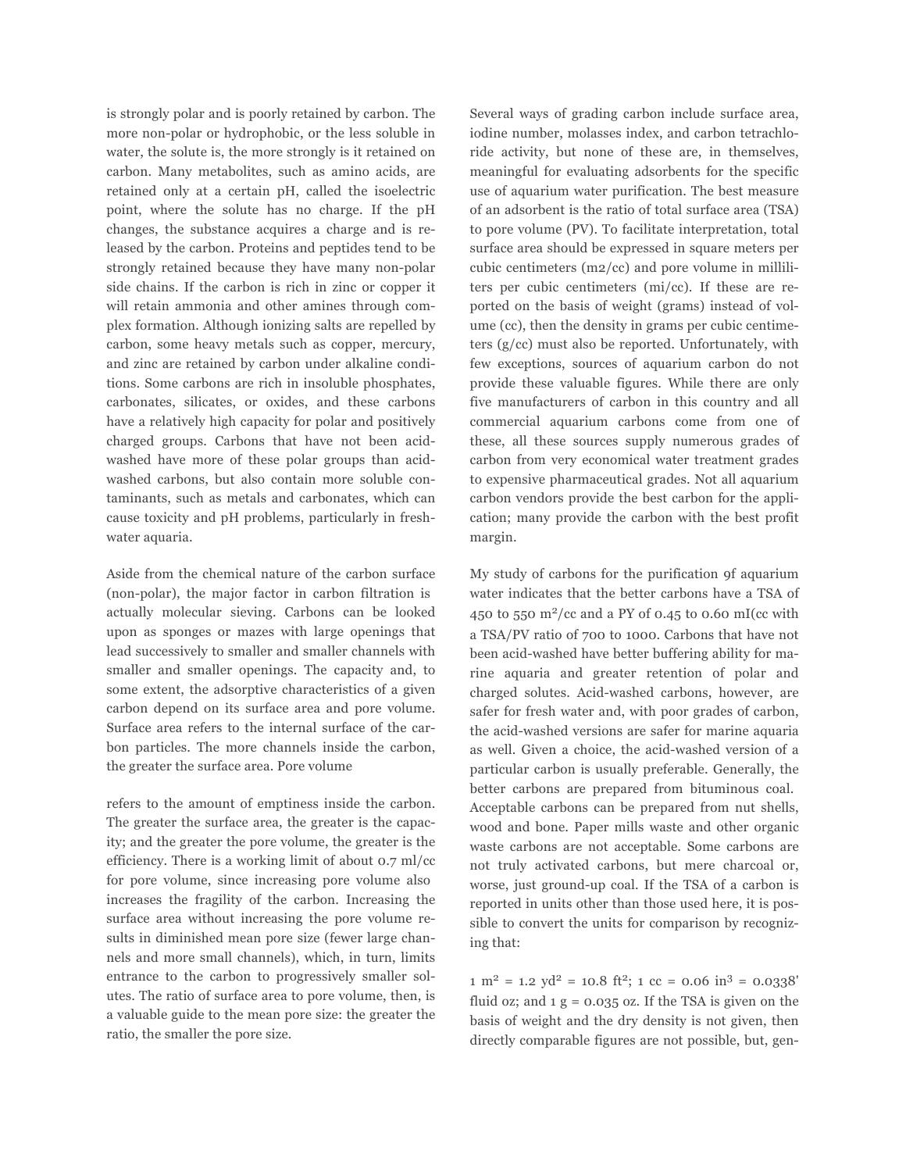is strongly polar and is poorly retained by carbon. The more non-polar or hydrophobic, or the less soluble in water, the solute is, the more strongly is it retained on carbon. Many metabolites, such as amino acids, are retained only at a certain pH, called the isoelectric point, where the solute has no charge. If the pH changes, the substance acquires a charge and is released by the carbon. Proteins and peptides tend to be strongly retained because they have many non-polar side chains. If the carbon is rich in zinc or copper it will retain ammonia and other amines through complex formation. Although ionizing salts are repelled by carbon, some heavy metals such as copper, mercury, and zinc are retained by carbon under alkaline conditions. Some carbons are rich in insoluble phosphates, carbonates, silicates, or oxides, and these carbons have a relatively high capacity for polar and positively charged groups. Carbons that have not been acidwashed have more of these polar groups than acidwashed carbons, but also contain more soluble contaminants, such as metals and carbonates, which can cause toxicity and pH problems, particularly in freshwater aquaria.

Aside from the chemical nature of the carbon surface (non-polar), the major factor in carbon filtration is actually molecular sieving. Carbons can be looked upon as sponges or mazes with large openings that lead successively to smaller and smaller channels with smaller and smaller openings. The capacity and, to some extent, the adsorptive characteristics of a given carbon depend on its surface area and pore volume. Surface area refers to the internal surface of the carbon particles. The more channels inside the carbon, the greater the surface area. Pore volume

refers to the amount of emptiness inside the carbon. The greater the surface area, the greater is the capacity; and the greater the pore volume, the greater is the efficiency. There is a working limit of about 0.7 ml/cc for pore volume, since increasing pore volume also increases the fragility of the carbon. Increasing the surface area without increasing the pore volume results in diminished mean pore size (fewer large channels and more small channels), which, in turn, limits entrance to the carbon to progressively smaller solutes. The ratio of surface area to pore volume, then, is a valuable guide to the mean pore size: the greater the ratio, the smaller the pore size.

Several ways of grading carbon include surface area, iodine number, molasses index, and carbon tetrachloride activity, but none of these are, in themselves, meaningful for evaluating adsorbents for the specific use of aquarium water purification. The best measure of an adsorbent is the ratio of total surface area (TSA) to pore volume (PV). To facilitate interpretation, total surface area should be expressed in square meters per cubic centimeters (m2/cc) and pore volume in milliliters per cubic centimeters (mi/cc). If these are reported on the basis of weight (grams) instead of volume (cc), then the density in grams per cubic centimeters (g/cc) must also be reported. Unfortunately, with few exceptions, sources of aquarium carbon do not provide these valuable figures. While there are only five manufacturers of carbon in this country and all commercial aquarium carbons come from one of these, all these sources supply numerous grades of carbon from very economical water treatment grades to expensive pharmaceutical grades. Not all aquarium carbon vendors provide the best carbon for the application; many provide the carbon with the best profit margin.

My study of carbons for the purification 9f aquarium water indicates that the better carbons have a TSA of 450 to 550  $\rm m^2/cc$  and a PY of 0.45 to 0.60 mI(cc with a TSA/PV ratio of 700 to 1000. Carbons that have not been acid-washed have better buffering ability for marine aquaria and greater retention of polar and charged solutes. Acid-washed carbons, however, are safer for fresh water and, with poor grades of carbon, the acid-washed versions are safer for marine aquaria as well. Given a choice, the acid-washed version of a particular carbon is usually preferable. Generally, the better carbons are prepared from bituminous coal. Acceptable carbons can be prepared from nut shells, wood and bone. Paper mills waste and other organic waste carbons are not acceptable. Some carbons are not truly activated carbons, but mere charcoal or, worse, just ground-up coal. If the TSA of a carbon is reported in units other than those used here, it is possible to convert the units for comparison by recognizing that:

 $1 m<sup>2</sup> = 1.2 yd<sup>2</sup> = 10.8 ft<sup>2</sup>; 1 cc = 0.06 in<sup>3</sup> = 0.0338'$ fluid oz; and  $1 g = 0.035$  oz. If the TSA is given on the basis of weight and the dry density is not given, then directly comparable figures are not possible, but, gen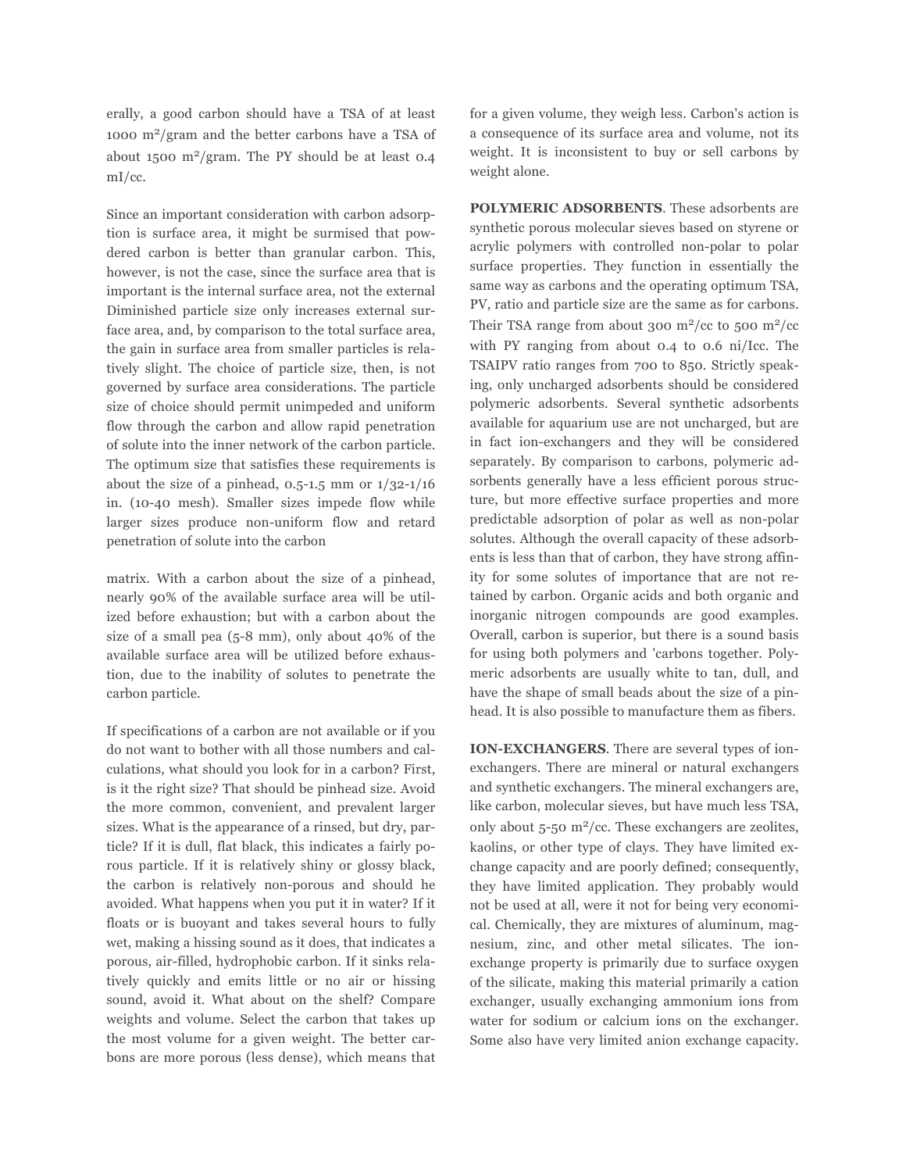erally, a good carbon should have a TSA of at least 1000 m2/gram and the better carbons have a TSA of about 1500 m<sup>2</sup>/gram. The PY should be at least  $0.4$ mI/cc.

Since an important consideration with carbon adsorption is surface area, it might be surmised that powdered carbon is better than granular carbon. This, however, is not the case, since the surface area that is important is the internal surface area, not the external Diminished particle size only increases external surface area, and, by comparison to the total surface area, the gain in surface area from smaller particles is relatively slight. The choice of particle size, then, is not governed by surface area considerations. The particle size of choice should permit unimpeded and uniform flow through the carbon and allow rapid penetration of solute into the inner network of the carbon particle. The optimum size that satisfies these requirements is about the size of a pinhead,  $0.5$ -1.5 mm or  $1/32$ -1/16 in. (10-40 mesh). Smaller sizes impede flow while larger sizes produce non-uniform flow and retard penetration of solute into the carbon

matrix. With a carbon about the size of a pinhead, nearly 90% of the available surface area will be utilized before exhaustion; but with a carbon about the size of a small pea (5-8 mm), only about 40% of the available surface area will be utilized before exhaustion, due to the inability of solutes to penetrate the carbon particle.

If specifications of a carbon are not available or if you do not want to bother with all those numbers and calculations, what should you look for in a carbon? First, is it the right size? That should be pinhead size. Avoid the more common, convenient, and prevalent larger sizes. What is the appearance of a rinsed, but dry, particle? If it is dull, flat black, this indicates a fairly porous particle. If it is relatively shiny or glossy black, the carbon is relatively non-porous and should he avoided. What happens when you put it in water? If it floats or is buoyant and takes several hours to fully wet, making a hissing sound as it does, that indicates a porous, air-filled, hydrophobic carbon. If it sinks relatively quickly and emits little or no air or hissing sound, avoid it. What about on the shelf? Compare weights and volume. Select the carbon that takes up the most volume for a given weight. The better carbons are more porous (less dense), which means that

for a given volume, they weigh less. Carbon's action is a consequence of its surface area and volume, not its weight. It is inconsistent to buy or sell carbons by weight alone.

**POLYMERIC ADSORBENTS**. These adsorbents are synthetic porous molecular sieves based on styrene or acrylic polymers with controlled non-polar to polar surface properties. They function in essentially the same way as carbons and the operating optimum TSA, PV, ratio and particle size are the same as for carbons. Their TSA range from about 300 m<sup>2</sup>/cc to 500 m<sup>2</sup>/cc with PY ranging from about 0.4 to 0.6 ni/Icc. The TSAIPV ratio ranges from 700 to 850. Strictly speaking, only uncharged adsorbents should be considered polymeric adsorbents. Several synthetic adsorbents available for aquarium use are not uncharged, but are in fact ion-exchangers and they will be considered separately. By comparison to carbons, polymeric adsorbents generally have a less efficient porous structure, but more effective surface properties and more predictable adsorption of polar as well as non-polar solutes. Although the overall capacity of these adsorbents is less than that of carbon, they have strong affinity for some solutes of importance that are not retained by carbon. Organic acids and both organic and inorganic nitrogen compounds are good examples. Overall, carbon is superior, but there is a sound basis for using both polymers and 'carbons together. Polymeric adsorbents are usually white to tan, dull, and have the shape of small beads about the size of a pinhead. It is also possible to manufacture them as fibers.

**ION-EXCHANGERS**. There are several types of ionexchangers. There are mineral or natural exchangers and synthetic exchangers. The mineral exchangers are, like carbon, molecular sieves, but have much less TSA, only about  $5-50$  m<sup>2</sup>/cc. These exchangers are zeolites, kaolins, or other type of clays. They have limited exchange capacity and are poorly defined; consequently, they have limited application. They probably would not be used at all, were it not for being very economical. Chemically, they are mixtures of aluminum, magnesium, zinc, and other metal silicates. The ionexchange property is primarily due to surface oxygen of the silicate, making this material primarily a cation exchanger, usually exchanging ammonium ions from water for sodium or calcium ions on the exchanger. Some also have very limited anion exchange capacity.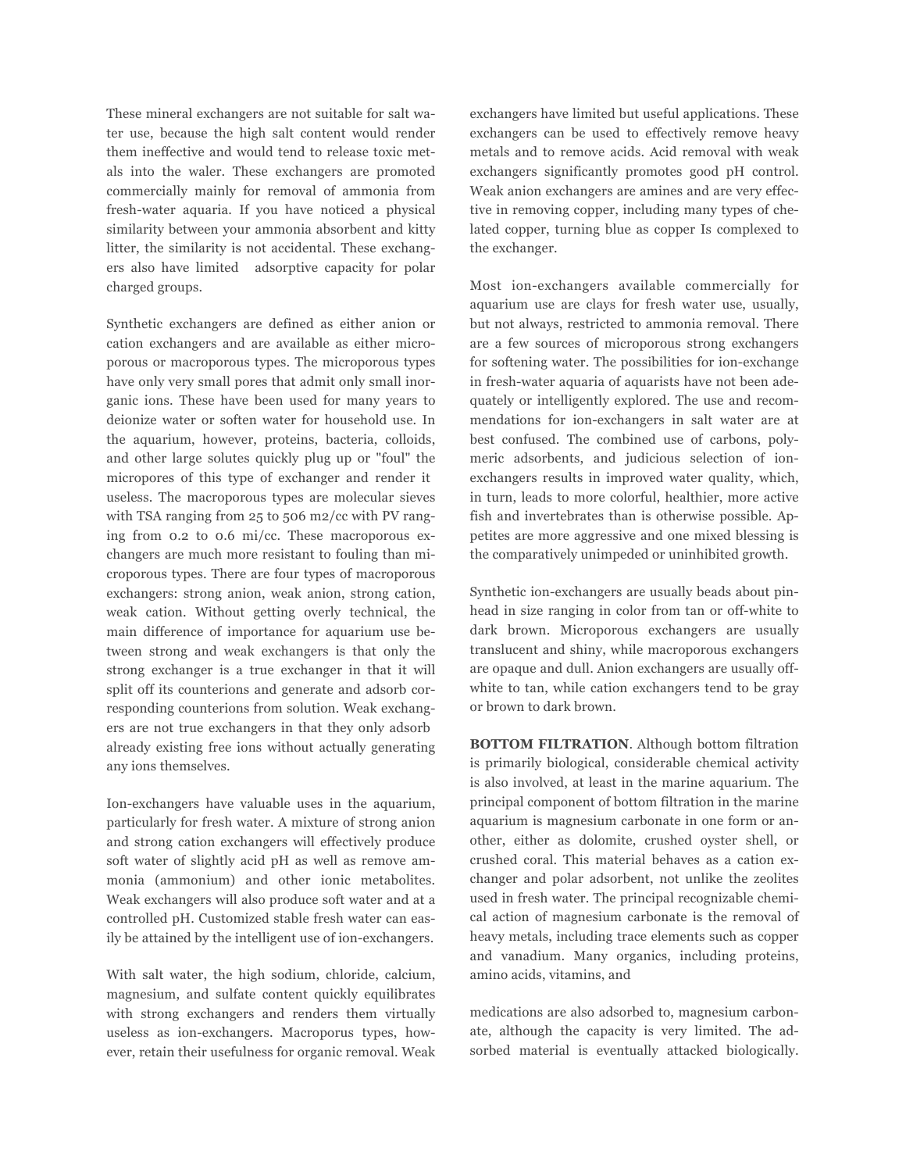These mineral exchangers are not suitable for salt water use, because the high salt content would render them ineffective and would tend to release toxic metals into the waler. These exchangers are promoted commercially mainly for removal of ammonia from fresh-water aquaria. If you have noticed a physical similarity between your ammonia absorbent and kitty litter, the similarity is not accidental. These exchangers also have limited adsorptive capacity for polar charged groups.

Synthetic exchangers are defined as either anion or cation exchangers and are available as either microporous or macroporous types. The microporous types have only very small pores that admit only small inorganic ions. These have been used for many years to deionize water or soften water for household use. In the aquarium, however, proteins, bacteria, colloids, and other large solutes quickly plug up or "foul" the micropores of this type of exchanger and render it useless. The macroporous types are molecular sieves with TSA ranging from 25 to 506 m2/cc with PV ranging from 0.2 to 0.6 mi/cc. These macroporous exchangers are much more resistant to fouling than microporous types. There are four types of macroporous exchangers: strong anion, weak anion, strong cation, weak cation. Without getting overly technical, the main difference of importance for aquarium use between strong and weak exchangers is that only the strong exchanger is a true exchanger in that it will split off its counterions and generate and adsorb corresponding counterions from solution. Weak exchangers are not true exchangers in that they only adsorb already existing free ions without actually generating any ions themselves.

Ion-exchangers have valuable uses in the aquarium, particularly for fresh water. A mixture of strong anion and strong cation exchangers will effectively produce soft water of slightly acid pH as well as remove ammonia (ammonium) and other ionic metabolites. Weak exchangers will also produce soft water and at a controlled pH. Customized stable fresh water can easily be attained by the intelligent use of ion-exchangers.

With salt water, the high sodium, chloride, calcium, magnesium, and sulfate content quickly equilibrates with strong exchangers and renders them virtually useless as ion-exchangers. Macroporus types, however, retain their usefulness for organic removal. Weak

exchangers have limited but useful applications. These exchangers can be used to effectively remove heavy metals and to remove acids. Acid removal with weak exchangers significantly promotes good pH control. Weak anion exchangers are amines and are very effective in removing copper, including many types of chelated copper, turning blue as copper Is complexed to the exchanger.

Most ion-exchangers available commercially for aquarium use are clays for fresh water use, usually, but not always, restricted to ammonia removal. There are a few sources of microporous strong exchangers for softening water. The possibilities for ion-exchange in fresh-water aquaria of aquarists have not been adequately or intelligently explored. The use and recommendations for ion-exchangers in salt water are at best confused. The combined use of carbons, polymeric adsorbents, and judicious selection of ionexchangers results in improved water quality, which, in turn, leads to more colorful, healthier, more active fish and invertebrates than is otherwise possible. Appetites are more aggressive and one mixed blessing is the comparatively unimpeded or uninhibited growth.

Synthetic ion-exchangers are usually beads about pinhead in size ranging in color from tan or off-white to dark brown. Microporous exchangers are usually translucent and shiny, while macroporous exchangers are opaque and dull. Anion exchangers are usually offwhite to tan, while cation exchangers tend to be gray or brown to dark brown.

**BOTTOM FILTRATION**. Although bottom filtration is primarily biological, considerable chemical activity is also involved, at least in the marine aquarium. The principal component of bottom filtration in the marine aquarium is magnesium carbonate in one form or another, either as dolomite, crushed oyster shell, or crushed coral. This material behaves as a cation exchanger and polar adsorbent, not unlike the zeolites used in fresh water. The principal recognizable chemical action of magnesium carbonate is the removal of heavy metals, including trace elements such as copper and vanadium. Many organics, including proteins, amino acids, vitamins, and

medications are also adsorbed to, magnesium carbonate, although the capacity is very limited. The adsorbed material is eventually attacked biologically.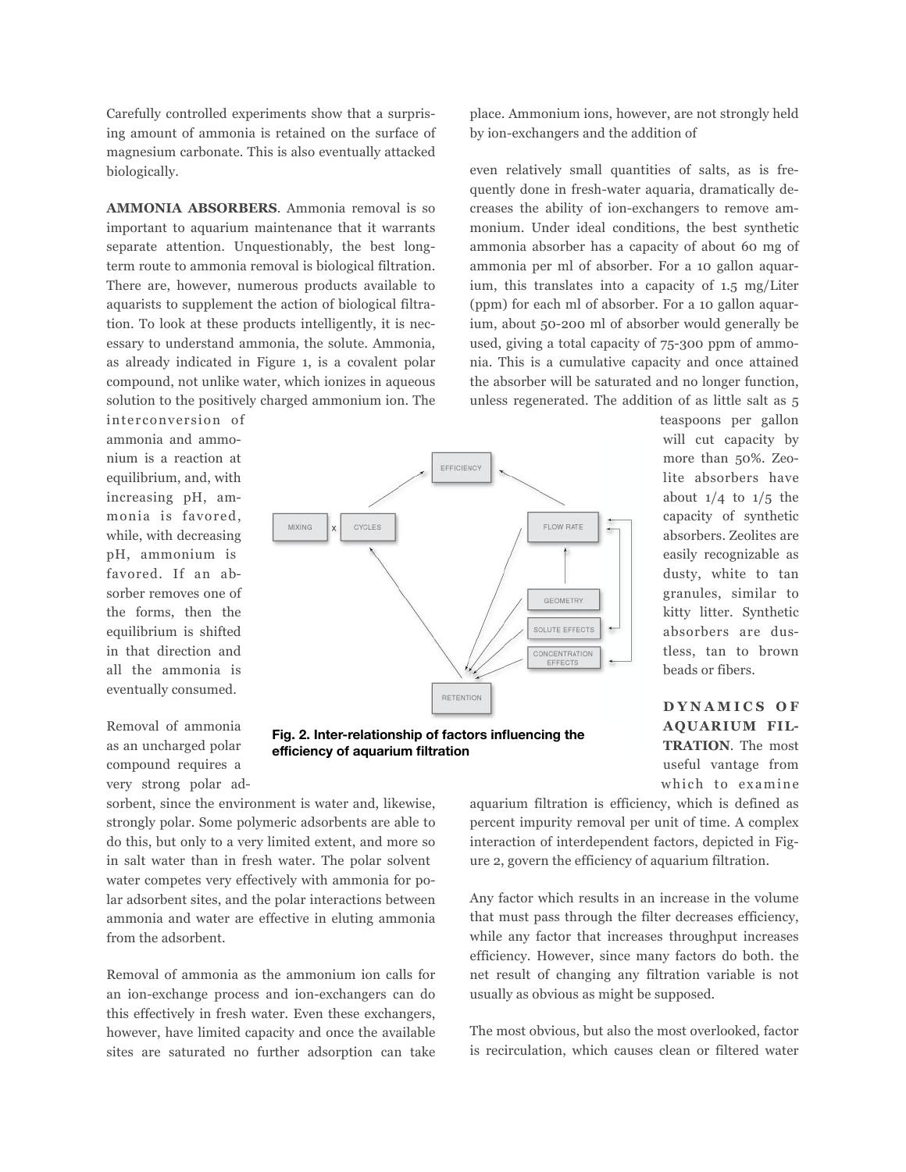Carefully controlled experiments show that a surprising amount of ammonia is retained on the surface of magnesium carbonate. This is also eventually attacked biologically.

**AMMONIA ABSORBERS**. Ammonia removal is so important to aquarium maintenance that it warrants separate attention. Unquestionably, the best longterm route to ammonia removal is biological filtration. There are, however, numerous products available to aquarists to supplement the action of biological filtration. To look at these products intelligently, it is necessary to understand ammonia, the solute. Ammonia, as already indicated in Figure 1, is a covalent polar compound, not unlike water, which ionizes in aqueous solution to the positively charged ammonium ion. The

interconversion of ammonia and ammonium is a reaction at equilibrium, and, with increasing pH, ammonia is favored, while, with decreasing pH, ammonium is favored. If an absorber removes one of the forms, then the equilibrium is shifted in that direction and all the ammonia is eventually consumed.

Removal of ammonia as an uncharged polar compound requires a very strong polar ad-

EFFICIENCY MIXING CYCLES FLOW RATE GEOMETRY SOLUTE EFFECTS CONCENTRATION RETENTION

**Fig. 2. Inter-relationship of factors influencing the efficiency of aquarium filtration**

unless regenerated. The addition of as little salt as 5 teaspoons per gallon will cut capacity by more than 50%. Zeolite absorbers have about  $1/4$  to  $1/5$  the capacity of synthetic absorbers. Zeolites are easily recognizable as dusty, white to tan granules, similar to kitty litter. Synthetic absorbers are dustless, tan to brown beads or fibers.

> **D Y N A M I C S O F AQUARIUM FIL-TRATION**. The most useful vantage from which to examine

sorbent, since the environment is water and, likewise, strongly polar. Some polymeric adsorbents are able to do this, but only to a very limited extent, and more so in salt water than in fresh water. The polar solvent water competes very effectively with ammonia for polar adsorbent sites, and the polar interactions between ammonia and water are effective in eluting ammonia from the adsorbent.

Removal of ammonia as the ammonium ion calls for an ion-exchange process and ion-exchangers can do this effectively in fresh water. Even these exchangers, however, have limited capacity and once the available sites are saturated no further adsorption can take

aquarium filtration is efficiency, which is defined as percent impurity removal per unit of time. A complex interaction of interdependent factors, depicted in Figure 2, govern the efficiency of aquarium filtration.

place. Ammonium ions, however, are not strongly held

even relatively small quantities of salts, as is frequently done in fresh-water aquaria, dramatically decreases the ability of ion-exchangers to remove ammonium. Under ideal conditions, the best synthetic ammonia absorber has a capacity of about 60 mg of ammonia per ml of absorber. For a 10 gallon aquarium, this translates into a capacity of 1.5 mg/Liter (ppm) for each ml of absorber. For a 10 gallon aquarium, about 50-200 ml of absorber would generally be used, giving a total capacity of 75-300 ppm of ammonia. This is a cumulative capacity and once attained the absorber will be saturated and no longer function,

by ion-exchangers and the addition of

Any factor which results in an increase in the volume that must pass through the filter decreases efficiency, while any factor that increases throughput increases efficiency. However, since many factors do both. the net result of changing any filtration variable is not usually as obvious as might be supposed.

The most obvious, but also the most overlooked, factor is recirculation, which causes clean or filtered water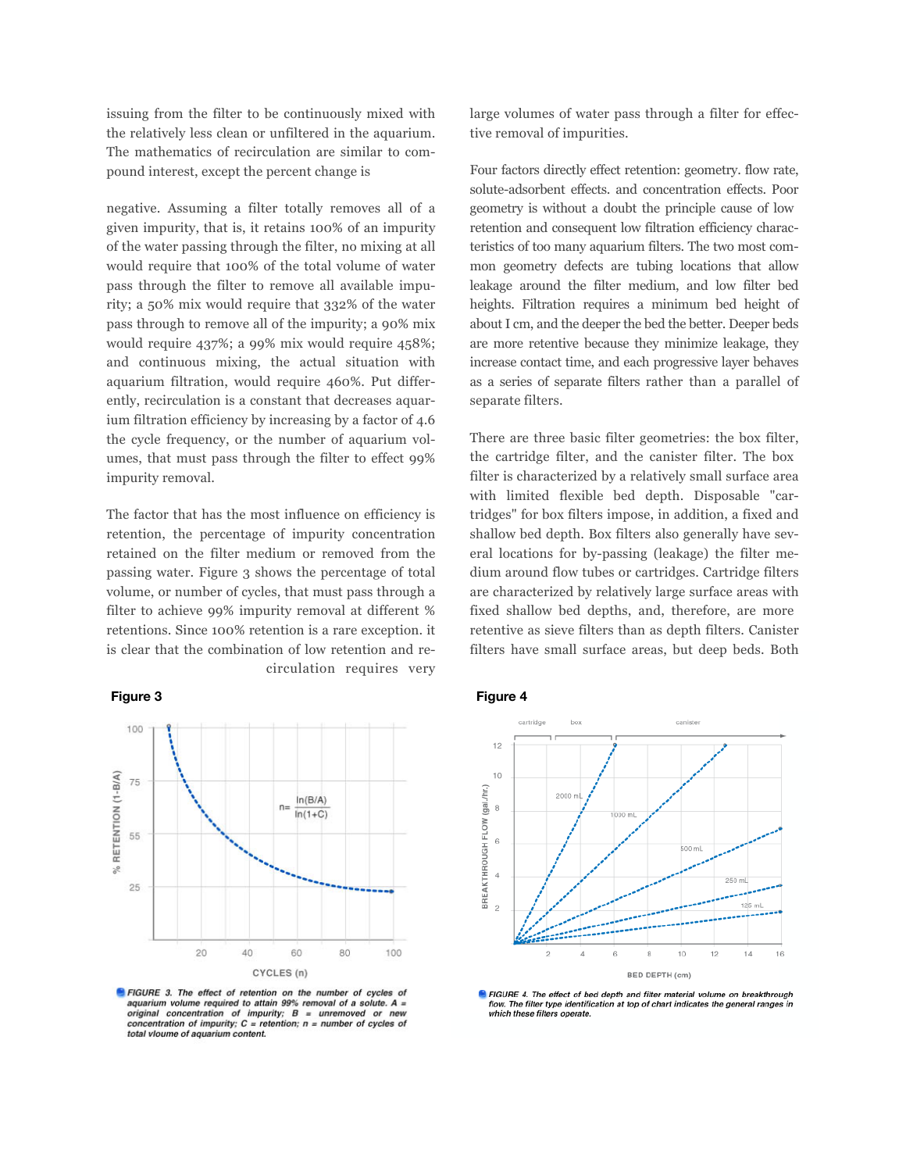issuing from the filter to be continuously mixed with the relatively less clean or unfiltered in the aquarium. The mathematics of recirculation are similar to compound interest, except the percent change is

negative. Assuming a filter totally removes all of a given impurity, that is, it retains 100% of an impurity of the water passing through the filter, no mixing at all would require that 100% of the total volume of water pass through the filter to remove all available impurity; a 50% mix would require that 332% of the water pass through to remove all of the impurity; a 90% mix would require 437%; a 99% mix would require 458%; and continuous mixing, the actual situation with aquarium filtration, would require 460%. Put differently, recirculation is a constant that decreases aquarium filtration efficiency by increasing by a factor of 4.6 the cycle frequency, or the number of aquarium volumes, that must pass through the filter to effect 99% impurity removal.

The factor that has the most influence on efficiency is retention, the percentage of impurity concentration retained on the filter medium or removed from the passing water. Figure 3 shows the percentage of total volume, or number of cycles, that must pass through a filter to achieve 99% impurity removal at different % retentions. Since 100% retention is a rare exception. it is clear that the combination of low retention and recirculation requires very



FIGURE 3. The effect of retention on the number of cycles of aquarium volume required to attain 99% removal of a solute. A = original concentration of impurity:  $B =$  unremoved or new concentration of impurity;  $C =$  retention;  $n =$  number of cycles of total vioume of aquarium content.

large volumes of water pass through a filter for effective removal of impurities.

Four factors directly effect retention: geometry. flow rate, solute-adsorbent effects. and concentration effects. Poor geometry is without a doubt the principle cause of low retention and consequent low filtration efficiency characteristics of too many aquarium filters. The two most common geometry defects are tubing locations that allow leakage around the filter medium, and low filter bed heights. Filtration requires a minimum bed height of about I cm, and the deeper the bed the better. Deeper beds are more retentive because they minimize leakage, they increase contact time, and each progressive layer behaves as a series of separate filters rather than a parallel of separate filters.

There are three basic filter geometries: the box filter, the cartridge filter, and the canister filter. The box filter is characterized by a relatively small surface area with limited flexible bed depth. Disposable "cartridges" for box filters impose, in addition, a fixed and shallow bed depth. Box filters also generally have several locations for by-passing (leakage) the filter medium around flow tubes or cartridges. Cartridge filters are characterized by relatively large surface areas with fixed shallow bed depths, and, therefore, are more retentive as sieve filters than as depth filters. Canister filters have small surface areas, but deep beds. Both





**B** FIGURE 4. The effect of bed depth and filter material volume on breakthrough flow. The filter type identifica tion at top of chart indicates the general ranges in which these filters operate.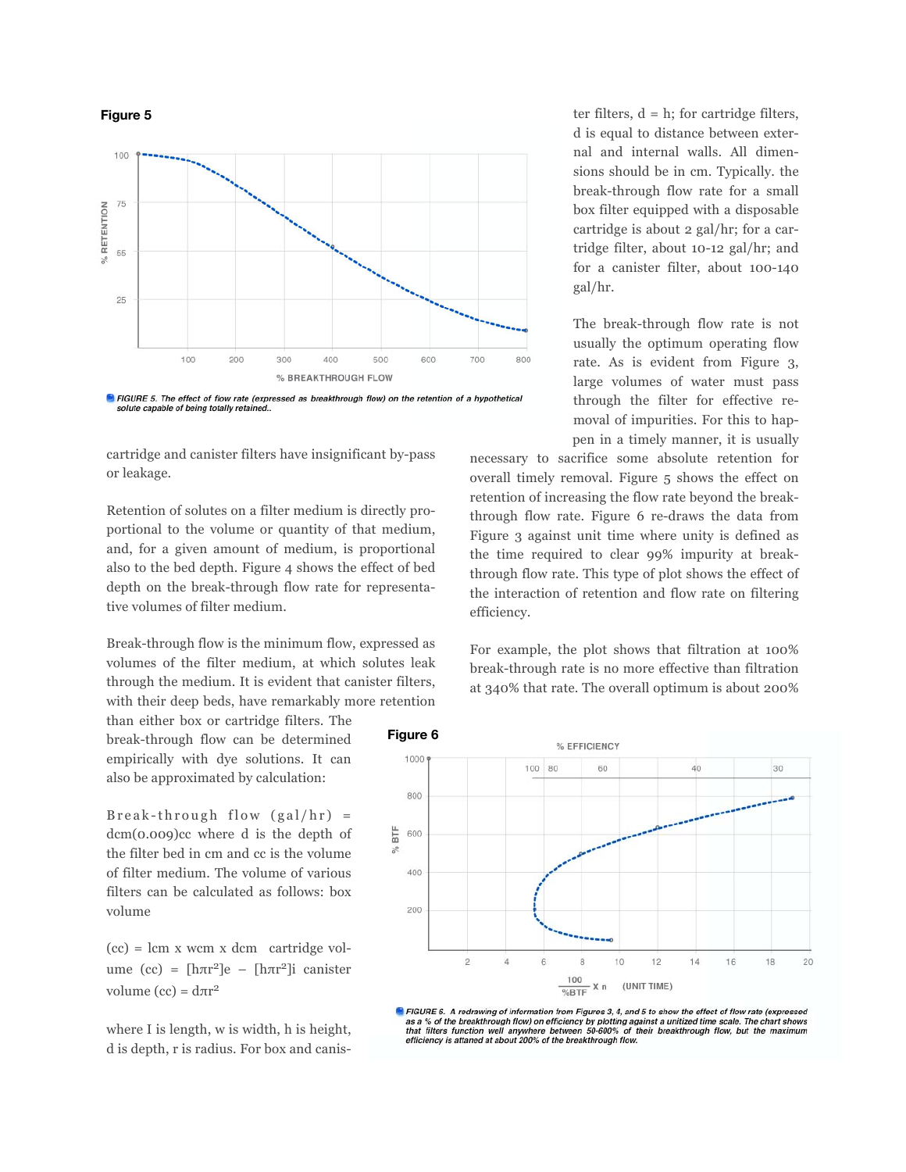## **Figure 5**



FIGURE 5. The effect of flow rate (expressed as breakthrough flow) on the retention of a hypothetical solute capable of being totally retained.

cartridge and canister filters have insignificant by-pass or leakage.

Retention of solutes on a filter medium is directly proportional to the volume or quantity of that medium, and, for a given amount of medium, is proportional also to the bed depth. Figure 4 shows the effect of bed depth on the break-through flow rate for representative volumes of filter medium.

Break-through flow is the minimum flow, expressed as volumes of the filter medium, at which solutes leak through the medium. It is evident that canister filters, with their deep beds, have remarkably more retention

than either box or cartridge filters. The break-through flow can be determined empirically with dye solutions. It can also be approximated by calculation:

 $B$  reak-through flow  $(gal/hr)$  = dcm(0.009)cc where d is the depth of the filter bed in cm and cc is the volume of filter medium. The volume of various filters can be calculated as follows: box volume

 $(cc) = lcm x$  wcm x dcm cartridge volume (cc) =  $[\text{h} \pi \text{r}^2]$ e –  $[\text{h} \pi \text{r}^2]$ i canister volume (cc) =  $dπr<sup>2</sup>$ 

where I is length, w is width, h is height, d is depth, r is radius. For box and canister filters,  $d = h$ ; for cartridge filters, d is equal to distance between external and internal walls. All dimensions should be in cm. Typically. the break-through flow rate for a small box filter equipped with a disposable cartridge is about 2 gal/hr; for a cartridge filter, about 10-12 gal/hr; and for a canister filter, about 100-140 gal/hr.

The break-through flow rate is not usually the optimum operating flow rate. As is evident from Figure 3, large volumes of water must pass through the filter for effective removal of impurities. For this to happen in a timely manner, it is usually

necessary to sacrifice some absolute retention for overall timely removal. Figure 5 shows the effect on retention of increasing the flow rate beyond the breakthrough flow rate. Figure 6 re-draws the data from Figure 3 against unit time where unity is defined as the time required to clear 99% impurity at breakthrough flow rate. This type of plot shows the effect of the interaction of retention and flow rate on filtering efficiency.

For example, the plot shows that filtration at 100% break-through rate is no more effective than filtration at 340% that rate. The overall optimum is about 200%